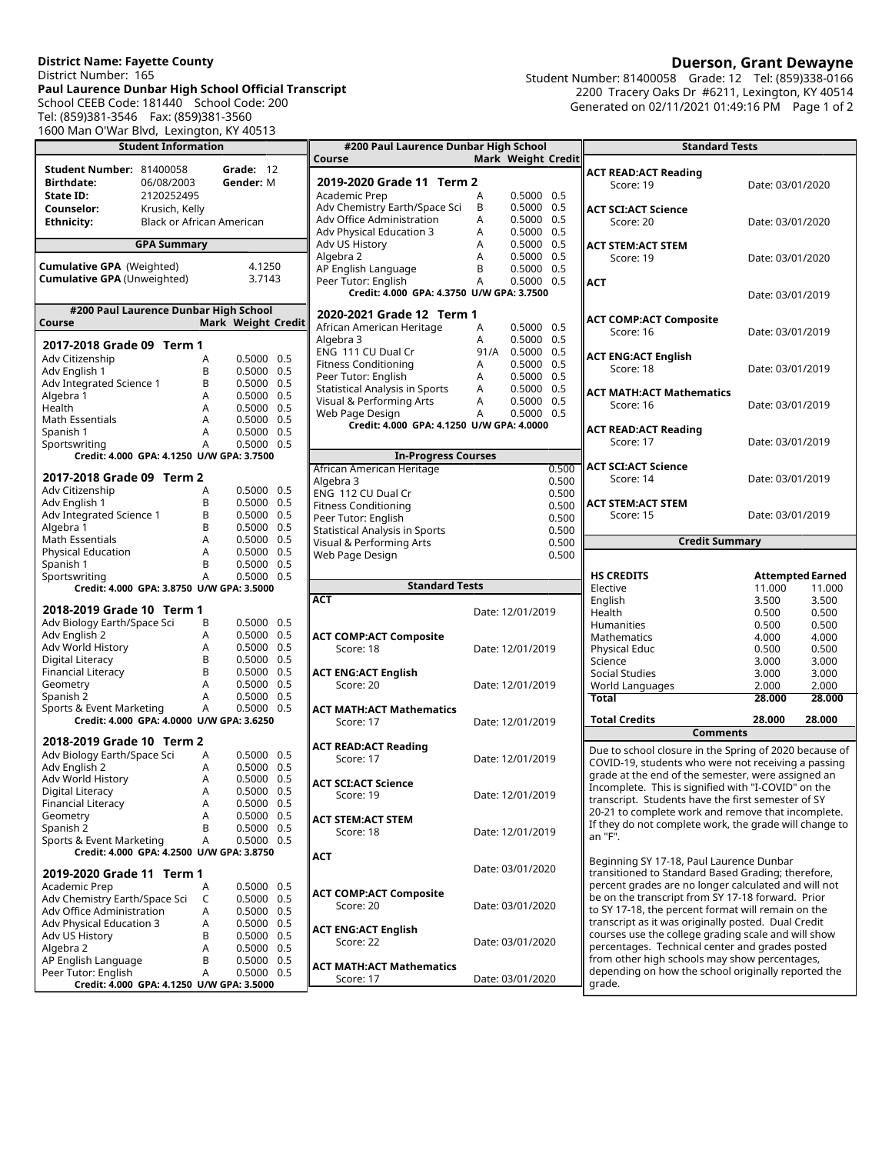## **District Name: Fayette County** District Number: 165 **Paul Laurence Dunbar High School Official Transcript** School CEEB Code: 181440 School Code: 200 Tel: (859)381-3546 Fax: (859)381-3560 1600 Man O'War Blvd, Lexington, KY 40513

**Student Information Student Number:** 81400058 **Grade:** 12 **Birthdate:<br>State ID: State ID:** 2120252495<br> **Counselor:** Krusich, Kelly **Counselor:** Krusich, Kelly<br> **Ethnicity:** Black or Africa **Black or African American GPA Summary Cumulative GPA** (Weighted) 4.1250<br>**Cumulative GPA** (Unweighted) 3.7143 **Cumulative GPA** (Unweighted) 3.7143 **#200 Paul Laurence Dunbar High School Course Mark Weight Credit 2017-2018 Grade 09 Term 1** Adv Citizenship A 0.5000 0.5 Adv English 1 B 0.5000 0.5 Adv Integrated Science 1 B<br>Algebra 1 A Algebra 1 A 0.5000 0.5  $0.5000$  0.5<br>0.5000 0.5 Math Essentials A 0.5000 0.5 Spanish 1 <br>Sportswriting The Context Control of A 0.5000 0.5 Sportswriting A **Credit: 4.000 GPA: 4.1250 U/W GPA: 3.7500 2017-2018 Grade 09 Term 2** Adv Citizenship A 0.5000 0.5 Adv English 1 B 0.5000 0.5 Adv Integrated Science 1 B 0.5000 0.5 Algebra 1 B 0.5000 0.5 Algebra 1 (a) 1980 1000 0.5<br>
Math Essentials (b) Math Essentials (b) A (a) 0.5000 0.5<br>
Physical Education (b) A (a) 0.5000 0.5 Physical Education A 0.5000 0.5 B<br>A 0.5000 0.5 Sportswriting **Credit: 4.000 GPA: 3.8750 U/W GPA: 3.5000 2018-2019 Grade 10 Term 1** Adv Biology Earth/Space Sci B 0.5000 0.5 Adv English 2 A 0.5000 0.5 Adv World History A 0.5000 0.5 Digital Literacy B 0.5000 0.5 Financial Literacy B<br>Geometry A Geometry A 0.5000 0.5 Spanish 2 A 0.5000 0.5 Sports & Event Marketing A 0.5000 0.5 **Credit: 4.000 GPA: 4.0000 U/W GPA: 3.6250 2018-2019 Grade 10 Term 2** Adv Biology Earth/Space Sci A 0.5000 0.5<br>Adv English 2 A 0.5000 0.5 Adv English 2 A 0.5000 0.5 Adv World History A 0.5000 0.5 Digital Literacy A 0.5000 0.5 Financial Literacy **A**<br>Geometry **A** Geometry  $A = 0.5000 0.5$ <br>Spanish 2  $B = 0.5000 0.5$ Spanish 2 B 0.5000 0.5 Sports & Event Marketing A 0.5000 0.5 **Credit: 4.000 GPA: 4.2500 U/W GPA: 3.8750 2019-2020 Grade 11 Term 1** Academic Prep<br>Adv Chemistry Earth/Space Sci C 0.5000 0.5 Adv Chemistry Earth/Space Sci C 0.5000 0.5<br>Adv Office Administration A 0.5000 0.5 Adv Office Administration A 0.5000 0.5 Adv Physical Education 3  $\overline{A}$  A 0.5000 0.5<br>Adv US History B 0.5000 0.5 Adv US History<br>Algebra 2 A 0.5000 0.5<br>B 0.5000 0.5 AP English Language B 0.5000 0.5 Peer Tutor: English

**Credit: 4.000 GPA: 4.1250 U/W GPA: 3.5000**

| #200 Paul Laurence Dunbar High School                   |      |                    |
|---------------------------------------------------------|------|--------------------|
| Course                                                  |      | Mark Weight Credit |
| 2019-2020 Grade 11 Term 2                               |      |                    |
| Academic Prep                                           | А    | 0.5000<br>0.5      |
| Adv Chemistry Earth/Space Sci                           | B    | 0.5000<br>0.5      |
| Adv Office Administration                               | A    | 0.5000<br>0.5      |
| Adv Physical Education 3                                | A    | 0.5<br>0.5000      |
| Adv US History                                          | A    | 0.5<br>0.5000      |
| Algebra 2                                               | A    | 0.5<br>0.5000      |
| AP English Language                                     | B    | 0.5000<br>0.5      |
| Peer Tutor: English                                     | A    | 0.5000<br>0.5      |
| Credit: 4.000 GPA: 4.3750 U/W GPA: 3.7500               |      |                    |
| 2020-2021 Grade 12 Term 1                               |      |                    |
| African American Heritage                               | A    | 0.5000<br>0.5      |
| Algebra 3                                               | A    | 0.5000<br>0.5      |
| ENG 111 CU Dual Cr                                      | 91/A | 0.5<br>0.5000      |
| <b>Fitness Conditioning</b>                             | A    | 0.5000<br>0.5      |
| Peer Tutor: English                                     | A    | 0.5<br>0.5000      |
| <b>Statistical Analysis in Sports</b>                   | A    | 0.5<br>0.5000      |
| Visual & Performing Arts                                | A    | 0.5<br>0.5000      |
| Web Page Design                                         | A    | 0.5<br>0.5000      |
| Credit: 4.000 GPA: 4.1250 U/W GPA: 4.0000               |      |                    |
|                                                         |      |                    |
| <b>In-Progress Courses</b><br>African American Heritage |      | 0.500              |
| Algebra 3                                               |      | 0.500              |
| ENG 112 CU Dual Cr                                      |      | 0.500              |
| <b>Fitness Conditioning</b>                             |      | 0.500              |
| Peer Tutor: English                                     |      | 0.500              |
| <b>Statistical Analysis in Sports</b>                   |      | 0.500              |
| Visual & Performing Arts                                |      | 0.500              |
| Web Page Design                                         |      | 0.500              |
|                                                         |      |                    |
|                                                         |      |                    |
| <b>Standard Tests</b>                                   |      |                    |
| <b>ACT</b>                                              |      |                    |
|                                                         |      | Date: 12/01/2019   |
| <b>ACT COMP:ACT Composite</b>                           |      |                    |
| Score: 18                                               |      | Date: 12/01/2019   |
|                                                         |      |                    |
| <b>ACT ENG:ACT English</b><br>Score: 20                 |      | Date: 12/01/2019   |
|                                                         |      |                    |
| <b>ACT MATH:ACT Mathematics</b>                         |      |                    |
| Score: 17                                               |      | Date: 12/01/2019   |
| <b>ACT READ:ACT Reading</b>                             |      |                    |
| Score: 17                                               |      | Date: 12/01/2019   |
|                                                         |      |                    |
| <b>ACT SCI:ACT Science</b>                              |      |                    |
| Score: 19                                               |      | Date: 12/01/2019   |
| <b>ACT STEM:ACT STEM</b>                                |      |                    |
| Score: 18                                               |      | Date: 12/01/2019   |
|                                                         |      |                    |
| АСТ                                                     |      | Date: 03/01/2020   |
|                                                         |      |                    |
| <b>ACT COMP:ACT Composite</b>                           |      |                    |
| Score: 20                                               |      | Date: 03/01/2020   |
|                                                         |      |                    |
| <b>ACT ENG:ACT English</b>                              |      |                    |
| Score: 22                                               |      | Date: 03/01/2020   |
|                                                         |      |                    |
| <b>ACT MATH:ACT Mathematics</b><br>Score: 17            |      | Date: 03/01/2020   |

Student Number: 81400058 Grade: 12 Tel: (859)338-0166 2200 Tracery Oaks Dr #6211, Lexington, KY 40514 Generated on 02/11/2021 01:49:16 PM Page 1 of 2

|                  | <b>Standard Tests</b>                                                                                                                                                                                                                                                                                                                                                                                                                                                                                                                                |                                      |                         |  |  |
|------------------|------------------------------------------------------------------------------------------------------------------------------------------------------------------------------------------------------------------------------------------------------------------------------------------------------------------------------------------------------------------------------------------------------------------------------------------------------------------------------------------------------------------------------------------------------|--------------------------------------|-------------------------|--|--|
| it               |                                                                                                                                                                                                                                                                                                                                                                                                                                                                                                                                                      |                                      |                         |  |  |
|                  | <b>ACT READ:ACT Reading</b><br>Score: 19                                                                                                                                                                                                                                                                                                                                                                                                                                                                                                             | Date: 03/01/2020<br>Date: 03/01/2020 |                         |  |  |
|                  | <b>ACT SCI:ACT Science</b><br>Score: 20                                                                                                                                                                                                                                                                                                                                                                                                                                                                                                              |                                      |                         |  |  |
|                  | <b>ACT STEM:ACT STEM</b><br>Score: 19                                                                                                                                                                                                                                                                                                                                                                                                                                                                                                                |                                      | Date: 03/01/2020        |  |  |
|                  | <b>ACT</b>                                                                                                                                                                                                                                                                                                                                                                                                                                                                                                                                           | Date: 03/01/2019                     |                         |  |  |
|                  | <b>ACT COMP:ACT Composite</b><br>Score: 16                                                                                                                                                                                                                                                                                                                                                                                                                                                                                                           | Date: 03/01/2019                     |                         |  |  |
|                  | <b>ACT ENG:ACT English</b><br>Score: 18                                                                                                                                                                                                                                                                                                                                                                                                                                                                                                              | Date: 03/01/2019                     |                         |  |  |
|                  | <b>ACT MATH:ACT Mathematics</b><br>Score: 16                                                                                                                                                                                                                                                                                                                                                                                                                                                                                                         | Date: 03/01/2019                     |                         |  |  |
|                  | <b>ACT READ:ACT Reading</b><br>Score: 17                                                                                                                                                                                                                                                                                                                                                                                                                                                                                                             | Date: 03/01/2019                     |                         |  |  |
| ັງ               | <b>ACT SCI:ACT Science</b><br>Score: 14                                                                                                                                                                                                                                                                                                                                                                                                                                                                                                              | Date: 03/01/2019                     |                         |  |  |
| )<br>)<br>)<br>) | <b>ACT STEM:ACT STEM</b><br>Score: 15                                                                                                                                                                                                                                                                                                                                                                                                                                                                                                                | Date: 03/01/2019                     |                         |  |  |
| $\overline{)}$   | <b>Credit Summary</b>                                                                                                                                                                                                                                                                                                                                                                                                                                                                                                                                |                                      |                         |  |  |
| j                |                                                                                                                                                                                                                                                                                                                                                                                                                                                                                                                                                      |                                      |                         |  |  |
|                  | <b>HS CREDITS</b>                                                                                                                                                                                                                                                                                                                                                                                                                                                                                                                                    |                                      | <b>Attempted Earned</b> |  |  |
|                  | Elective                                                                                                                                                                                                                                                                                                                                                                                                                                                                                                                                             | 11.000                               | 11.000                  |  |  |
|                  | English                                                                                                                                                                                                                                                                                                                                                                                                                                                                                                                                              | 3.500                                | 3.500                   |  |  |
|                  | Health                                                                                                                                                                                                                                                                                                                                                                                                                                                                                                                                               | 0.500                                | 0.500                   |  |  |
|                  | Humanities                                                                                                                                                                                                                                                                                                                                                                                                                                                                                                                                           | 0.500                                | 0.500                   |  |  |
|                  | Mathematics                                                                                                                                                                                                                                                                                                                                                                                                                                                                                                                                          | 4.000                                | 4.000                   |  |  |
|                  | <b>Physical Educ</b><br>Science                                                                                                                                                                                                                                                                                                                                                                                                                                                                                                                      |                                      | 0.500<br>0.500          |  |  |
|                  | <b>Social Studies</b>                                                                                                                                                                                                                                                                                                                                                                                                                                                                                                                                | 3.000<br>3.000<br>3.000<br>3.000     |                         |  |  |
|                  | World Languages                                                                                                                                                                                                                                                                                                                                                                                                                                                                                                                                      | 2.000                                | 2.000                   |  |  |
|                  | <b>Total</b>                                                                                                                                                                                                                                                                                                                                                                                                                                                                                                                                         | 28.000                               | 28.000                  |  |  |
|                  | <b>Total Credits</b>                                                                                                                                                                                                                                                                                                                                                                                                                                                                                                                                 | 28.000                               | 28.000                  |  |  |
|                  | <b>Comments</b>                                                                                                                                                                                                                                                                                                                                                                                                                                                                                                                                      |                                      |                         |  |  |
|                  | Due to school closure in the Spring of 2020 because of<br>COVID-19, students who were not receiving a passing<br>grade at the end of the semester, were assigned an<br>Incomplete. This is signified with "I-COVID" on the<br>transcript. Students have the first semester of SY<br>20-21 to complete work and remove that incomplete.<br>If they do not complete work, the grade will change to<br>an "F".                                                                                                                                          |                                      |                         |  |  |
|                  | Beginning SY 17-18, Paul Laurence Dunbar<br>transitioned to Standard Based Grading; therefore,<br>percent grades are no longer calculated and will not<br>be on the transcript from SY 17-18 forward. Prior<br>to SY 17-18, the percent format will remain on the<br>transcript as it was originally posted. Dual Credit<br>courses use the college grading scale and will show<br>percentages. Technical center and grades posted<br>from other high schools may show percentages,<br>depending on how the school originally reported the<br>grade. |                                      |                         |  |  |

## **Duerson, Grant Dewayne**